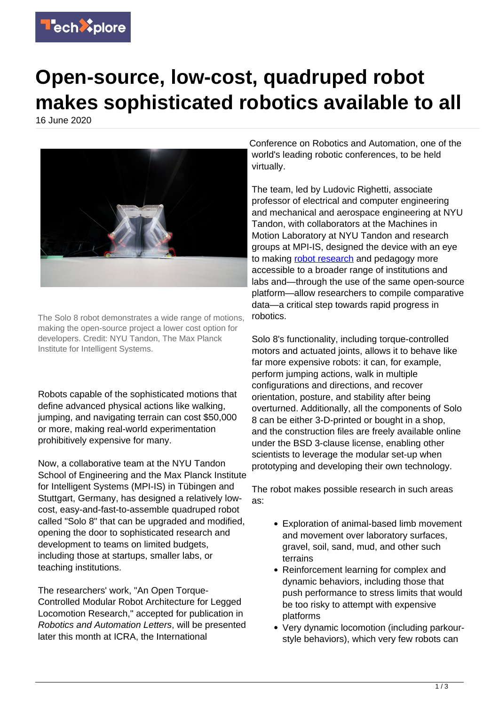

## **Open-source, low-cost, quadruped robot makes sophisticated robotics available to all**

16 June 2020



The Solo 8 robot demonstrates a wide range of motions, making the open-source project a lower cost option for developers. Credit: NYU Tandon, The Max Planck Institute for Intelligent Systems.

Robots capable of the sophisticated motions that define advanced physical actions like walking, jumping, and navigating terrain can cost \$50,000 or more, making real-world experimentation prohibitively expensive for many.

Now, a collaborative team at the NYU Tandon School of Engineering and the Max Planck Institute for Intelligent Systems (MPI-IS) in Tübingen and Stuttgart, Germany, has designed a relatively lowcost, easy-and-fast-to-assemble quadruped robot called "Solo 8" that can be upgraded and modified, opening the door to sophisticated research and development to teams on limited budgets, including those at startups, smaller labs, or teaching institutions.

The researchers' work, "An Open Torque-Controlled Modular Robot Architecture for Legged Locomotion Research," accepted for publication in Robotics and Automation Letters, will be presented later this month at ICRA, the International

Conference on Robotics and Automation, one of the world's leading robotic conferences, to be held virtually.

The team, led by Ludovic Righetti, associate professor of electrical and computer engineering and mechanical and aerospace engineering at NYU Tandon, with collaborators at the Machines in Motion Laboratory at NYU Tandon and research groups at MPI-IS, designed the device with an eye to making [robot research](https://techxplore.com/tags/robot+research/) and pedagogy more accessible to a broader range of institutions and labs and—through the use of the same open-source platform—allow researchers to compile comparative data—a critical step towards rapid progress in robotics.

Solo 8's functionality, including torque-controlled motors and actuated joints, allows it to behave like far more expensive robots: it can, for example, perform jumping actions, walk in multiple configurations and directions, and recover orientation, posture, and stability after being overturned. Additionally, all the components of Solo 8 can be either 3-D-printed or bought in a shop, and the construction files are freely available online under the BSD 3-clause license, enabling other scientists to leverage the modular set-up when prototyping and developing their own technology.

The robot makes possible research in such areas as:

- Exploration of animal-based limb movement and movement over laboratory surfaces, gravel, soil, sand, mud, and other such terrains
- Reinforcement learning for complex and dynamic behaviors, including those that push performance to stress limits that would be too risky to attempt with expensive platforms
- Very dynamic locomotion (including parkourstyle behaviors), which very few robots can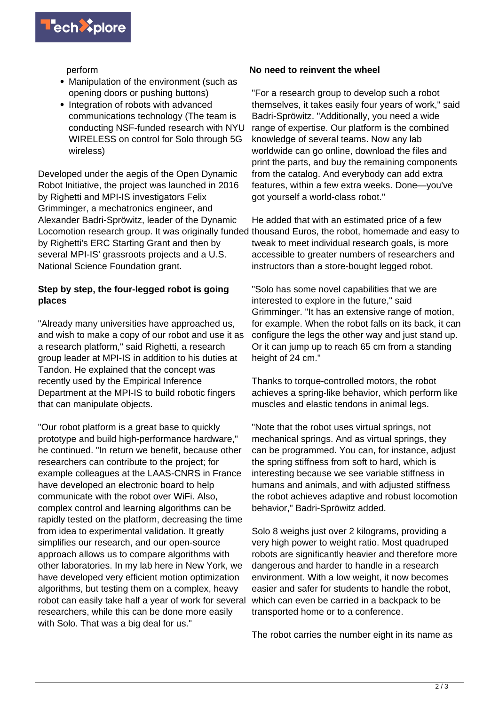

perform

- Manipulation of the environment (such as opening doors or pushing buttons)
- Integration of robots with advanced communications technology (The team is conducting NSF-funded research with NYU WIRELESS on control for Solo through 5G wireless)

Developed under the aegis of the Open Dynamic Robot Initiative, the project was launched in 2016 by Righetti and MPI-IS investigators Felix Grimminger, a mechatronics engineer, and Alexander Badri-Spröwitz, leader of the Dynamic Locomotion research group. It was originally funded thousand Euros, the robot, homemade and easy to by Righetti's ERC Starting Grant and then by several MPI-IS' grassroots projects and a U.S. National Science Foundation grant.

## **Step by step, the four-legged robot is going places**

"Already many universities have approached us, and wish to make a copy of our robot and use it as a research platform," said Righetti, a research group leader at MPI-IS in addition to his duties at Tandon. He explained that the concept was recently used by the Empirical Inference Department at the MPI-IS to build robotic fingers that can manipulate objects.

"Our robot platform is a great base to quickly prototype and build high-performance hardware," he continued. "In return we benefit, because other researchers can contribute to the project; for example colleagues at the LAAS-CNRS in France have developed an electronic board to help communicate with the robot over WiFi. Also, complex control and learning algorithms can be rapidly tested on the platform, decreasing the time from idea to experimental validation. It greatly simplifies our research, and our open-source approach allows us to compare algorithms with other laboratories. In my lab here in New York, we have developed very efficient motion optimization algorithms, but testing them on a complex, heavy robot can easily take half a year of work for several researchers, while this can be done more easily with Solo. That was a big deal for us."

## **No need to reinvent the wheel**

"For a research group to develop such a robot themselves, it takes easily four years of work," said Badri-Spröwitz. "Additionally, you need a wide range of expertise. Our platform is the combined knowledge of several teams. Now any lab worldwide can go online, download the files and print the parts, and buy the remaining components from the catalog. And everybody can add extra features, within a few extra weeks. Done—you've got yourself a world-class robot."

He added that with an estimated price of a few tweak to meet individual research goals, is more accessible to greater numbers of researchers and instructors than a store-bought legged robot.

"Solo has some novel capabilities that we are interested to explore in the future," said Grimminger. "It has an extensive range of motion, for example. When the robot falls on its back, it can configure the legs the other way and just stand up. Or it can jump up to reach 65 cm from a standing height of 24 cm."

Thanks to torque-controlled motors, the robot achieves a spring-like behavior, which perform like muscles and elastic tendons in animal legs.

"Note that the robot uses virtual springs, not mechanical springs. And as virtual springs, they can be programmed. You can, for instance, adjust the spring stiffness from soft to hard, which is interesting because we see variable stiffness in humans and animals, and with adjusted stiffness the robot achieves adaptive and robust locomotion behavior," Badri-Spröwitz added.

Solo 8 weighs just over 2 kilograms, providing a very high power to weight ratio. Most quadruped robots are significantly heavier and therefore more dangerous and harder to handle in a research environment. With a low weight, it now becomes easier and safer for students to handle the robot, which can even be carried in a backpack to be transported home or to a conference.

The robot carries the number eight in its name as